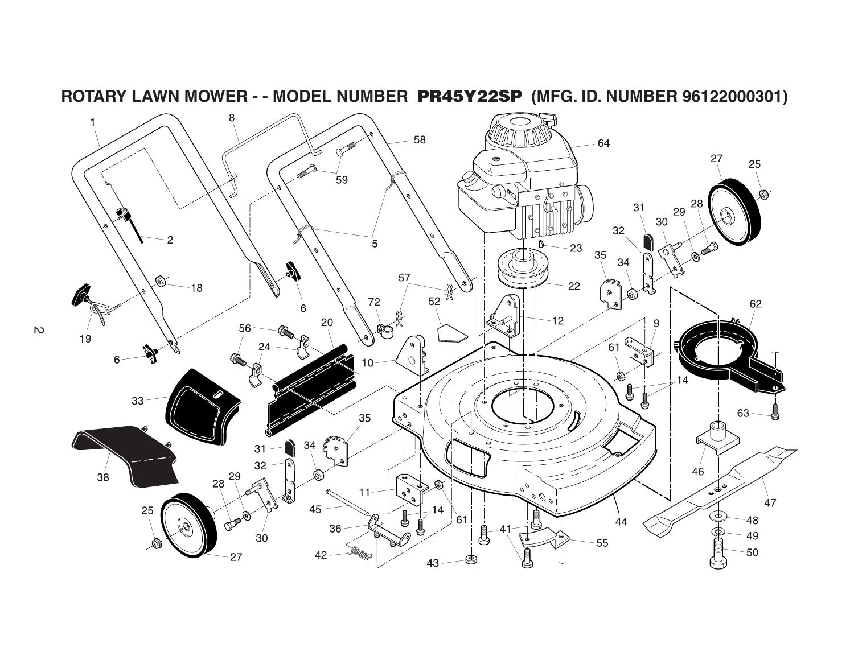

**ROTARY LAWN MOWER - - MODEL NUMBER PR45Y22SP (MFG. ID. NUMBER 96122000301)**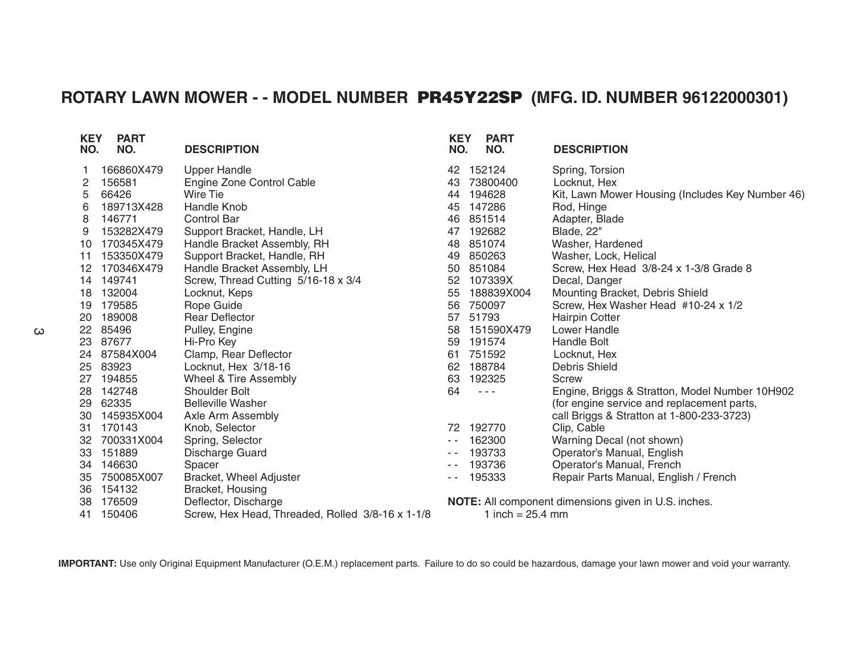## **ROTARY LAWN MOWER - - MODEL NUMBER PR45Y22SP (MFG. ID. NUMBER 96122000301)**

| <b>KEY</b><br>NO. | <b>PART</b><br>NO. | <b>DESCRIPTION</b>                               | <b>KEY</b><br>NO. | <b>PART</b><br>NO.                                   | <b>DESCRIPTION</b>                               |  |
|-------------------|--------------------|--------------------------------------------------|-------------------|------------------------------------------------------|--------------------------------------------------|--|
|                   | 166860X479         | <b>Upper Handle</b>                              | 42                | 152124                                               | Spring, Torsion                                  |  |
| 2                 | 156581             | Engine Zone Control Cable                        | 43                | 73800400                                             | Locknut, Hex                                     |  |
| 5                 | 66426              | Wire Tie                                         | 44                | 194628                                               | Kit, Lawn Mower Housing (Includes Key Number 46) |  |
| 6                 | 189713X428         | Handle Knob                                      | 45                | 147286                                               | Rod, Hinge                                       |  |
| 8                 | 146771             | <b>Control Bar</b>                               | 46                | 851514                                               | Adapter, Blade                                   |  |
| 9                 | 153282X479         | Support Bracket, Handle, LH                      | 47                | 192682                                               | Blade, 22"                                       |  |
| 10                | 170345X479         | Handle Bracket Assembly, RH                      | 48                | 851074                                               | Washer, Hardened                                 |  |
| 11                | 153350X479         | Support Bracket, Handle, RH                      | 49                | 850263                                               | Washer, Lock, Helical                            |  |
| 12 <sup>2</sup>   | 170346X479         | Handle Bracket Assembly, LH                      | 50                | 851084                                               | Screw, Hex Head 3/8-24 x 1-3/8 Grade 8           |  |
| 14                | 149741             | Screw, Thread Cutting 5/16-18 x 3/4              | 52                | 107339X                                              | Decal, Danger                                    |  |
| 18                | 132004             | Locknut, Keps                                    | 55                | 188839X004                                           | Mounting Bracket, Debris Shield                  |  |
| 19                | 179585             | Rope Guide                                       | 56                | 750097                                               | Screw, Hex Washer Head #10-24 x 1/2              |  |
| 20                | 189008             | <b>Rear Deflector</b>                            | 57                | 51793                                                | <b>Hairpin Cotter</b>                            |  |
| 22                | 85496              | Pulley, Engine                                   | 58                | 151590X479                                           | Lower Handle                                     |  |
| 23                | 87677              | Hi-Pro Key                                       | 59                | 191574                                               | Handle Bolt                                      |  |
| 24                | 87584X004          | Clamp, Rear Deflector                            | 61                | 751592                                               | Locknut, Hex                                     |  |
| 25                | 83923              | Locknut, Hex 3/18-16                             | 62                | 188784                                               | Debris Shield                                    |  |
| 27                | 194855             | Wheel & Tire Assembly                            | 63                | 192325                                               | Screw                                            |  |
| 28                | 142748             | <b>Shoulder Bolt</b>                             | 64                | - - -                                                | Engine, Briggs & Stratton, Model Number 10H902   |  |
| 29                | 62335              | <b>Belleville Washer</b>                         |                   |                                                      | (for engine service and replacement parts,       |  |
| 30                | 145935X004         | Axle Arm Assembly                                |                   |                                                      | call Briggs & Stratton at 1-800-233-3723)        |  |
| 31                | 170143             | Knob, Selector                                   | 72                | 192770                                               | Clip, Cable                                      |  |
| 32                | 700331X004         | Spring, Selector                                 | $ -$              | 162300                                               | Warning Decal (not shown)                        |  |
| 33                | 151889             | Discharge Guard                                  | $ -$              | 193733                                               | Operator's Manual, English                       |  |
| 34                | 146630             | Spacer                                           |                   | 193736                                               | Operator's Manual, French                        |  |
| 35                | 750085X007         | Bracket, Wheel Adjuster                          |                   | 195333                                               | Repair Parts Manual, English / French            |  |
| 36                | 154132             | Bracket, Housing                                 |                   |                                                      |                                                  |  |
| 38                | 176509             | Deflector, Discharge                             |                   | NOTE: All component dimensions given in U.S. inches. |                                                  |  |
| 41                | 150406             | Screw, Hex Head, Threaded, Rolled 3/8-16 x 1-1/8 |                   | 1 inch = $25.4$ mm                                   |                                                  |  |

**IMPORTANT:** Use only Original Equipment Manufacturer (O.E.M.) replacement parts. Failure to do so could be hazardous, damage your lawn mower and void your warranty.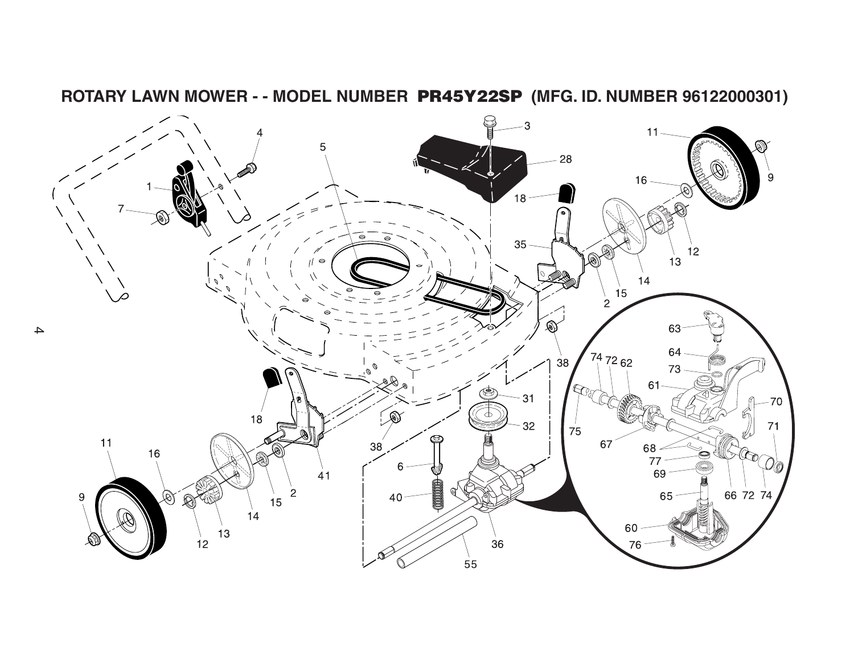

**ROTARY LAWN MOWER - - MODEL NUMBER PR45Y22SP (MFG. ID. NUMBER 96122000301)**